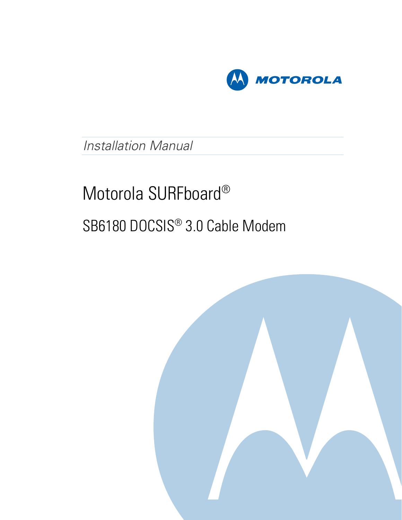

# Installation Manual

# Motorola SURFboard® SB6180 DOCSIS® 3.0 Cable Modem

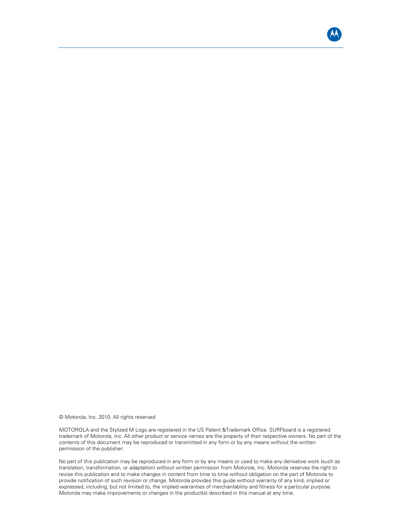

© Motorola, Inc. 2010. All rights reserved

MOTOROLA and the Stylized M Logo are registered in the US Patent &Trademark Office. SURFboard is a registered trademark of Motorola, Inc. All other product or service names are the property of their respective owners. No part of the contents of this document may be reproduced or transmitted in any form or by any means without the written permission of the publisher.

No part of this publication may be reproduced in any form or by any means or used to make any derivative work (such as translation, transformation, or adaptation) without written permission from Motorola, Inc. Motorola reserves the right to revise this publication and to make changes in content from time to time without obligation on the part of Motorola to provide notification of such revision or change. Motorola provides this guide without warranty of any kind, implied or expressed, including, but not limited to, the implied warranties of merchantability and fitness for a particular purpose. Motorola may make improvements or changes in the product(s) described in this manual at any time.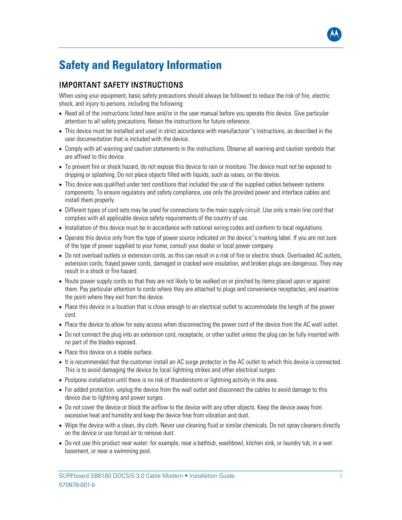# <span id="page-2-0"></span>**Safety and Regulatory Information**

#### IMPORTANT SAFETY INSTRUCTIONS

When using your equipment, basic safety precautions should always be followed to reduce the risk of fire, electric shock, and injury to persons, including the following:

- Read all of the instructions listed here and/or in the user manual before you operate this device. Give particular attention to all safety precautions. Retain the instructions for future reference.
- This device must be installed and used in strict accordance with manufacturer''s instructions, as described in the user documentation that is included with the device.
- Comply with all warning and caution statements in the instructions. Observe all warning and caution symbols that are affixed to this device.
- To prevent fire or shock hazard, do not expose this device to rain or moisture. The device must not be exposed to dripping or splashing. Do not place objects filled with liquids, such as vases, on the device.
- This device was qualified under test conditions that included the use of the supplied cables between systems components. To ensure regulatory and safety compliance, use only the provided power and interface cables and install them properly.
- Different types of cord sets may be used for connections to the main supply circuit. Use only a main line cord that complies with all applicable device safety requirements of the country of use.
- Installation of this device must be in accordance with national wiring codes and conform to local regulations.
- Operate this device only from the type of power source indicated on the device''s marking label. If you are not sure of the type of power supplied to your home, consult your dealer or local power company.
- Do not overload outlets or extension cords, as this can result in a risk of fire or electric shock. Overloaded AC outlets, extension cords, frayed power cords, damaged or cracked wire insulation, and broken plugs are dangerous. They may result in a shock or fire hazard.
- Route power supply cords so that they are not likely to be walked on or pinched by items placed upon or against them. Pay particular attention to cords where they are attached to plugs and convenience receptacles, and examine the point where they exit from the device.
- Place this device in a location that is close enough to an electrical outlet to accommodate the length of the power cord.
- Place the device to allow for easy access when disconnecting the power cord of the device from the AC wall outlet.
- Do not connect the plug into an extension cord, receptacle, or other outlet unless the plug can be fully inserted with no part of the blades exposed.
- Place this device on a stable surface.
- It is recommended that the customer install an AC surge protector in the AC outlet to which this device is connected. This is to avoid damaging the device by local lightning strikes and other electrical surges.
- Postpone installation until there is no risk of thunderstorm or lightning activity in the area.
- For added protection, unplug the device from the wall outlet and disconnect the cables to avoid damage to this device due to lightning and power surges.
- Do not cover the device or block the airflow to the device with any other objects. Keep the device away from excessive heat and humidity and keep the device free from vibration and dust.
- Wipe the device with a clean, dry cloth. Never use cleaning fluid or similar chemicals. Do not spray cleaners directly on the device or use forced air to remove dust.
- Do not use this product near water: for example, near a bathtub, washbowl, kitchen sink, or laundry tub, in a wet basement, or near a swimming pool.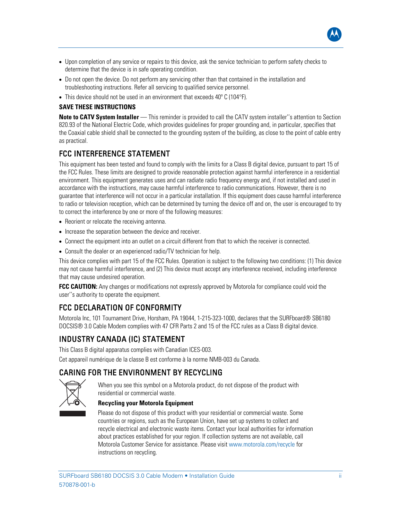

- Upon completion of any service or repairs to this device, ask the service technician to perform safety checks to determine that the device is in safe operating condition.
- Do not open the device. Do not perform any servicing other than that contained in the installation and troubleshooting instructions. Refer all servicing to qualified service personnel.
- This device should not be used in an environment that exceeds 40° C (104°F).

#### **SAVE THESE INSTRUCTIONS**

**Note to CATV System Installer** — This reminder is provided to call the CATV system installer''s attention to Section 820.93 of the National Electric Code, which provides guidelines for proper grounding and, in particular, specifies that the Coaxial cable shield shall be connected to the grounding system of the building, as close to the point of cable entry as practical.

#### FCC INTERFERENCE STATEMENT

This equipment has been tested and found to comply with the limits for a Class B digital device, pursuant to part 15 of the FCC Rules. These limits are designed to provide reasonable protection against harmful interference in a residential environment. This equipment generates uses and can radiate radio frequency energy and, if not installed and used in accordance with the instructions, may cause harmful interference to radio communications. However, there is no guarantee that interference will not occur in a particular installation. If this equipment does cause harmful interference to radio or television reception, which can be determined by turning the device off and on, the user is encouraged to try to correct the interference by one or more of the following measures:

- Reorient or relocate the receiving antenna.
- Increase the separation between the device and receiver.
- Connect the equipment into an outlet on a circuit different from that to which the receiver is connected.
- Consult the dealer or an experienced radio/TV technician for help.

This device complies with part 15 of the FCC Rules. Operation is subject to the following two conditions: (1) This device may not cause harmful interference, and (2) This device must accept any interference received, including interference that may cause undesired operation.

**FCC CAUTION:** Any changes or modifications not expressly approved by Motorola for compliance could void the user''s authority to operate the equipment.

## FCC DECLARATION OF CONFORMITY

Motorola Inc, 101 Tournament Drive, Horsham, PA 19044, 1-215-323-1000, declares that the SURFboard® SB6180 DOCSIS® 3.0 Cable Modem complies with 47 CFR Parts 2 and 15 of the FCC rules as a Class B digital device.

## INDUSTRY CANADA (IC) STATEMENT

This Class B digital apparatus complies with Canadian ICES-003.

Cet appareil numérique de la classe B est conforme à la norme NMB-003 du Canada.

#### CARING FOR THE ENVIRONMENT BY RECYCLING



When you see this symbol on a Motorola product, do not dispose of the product with residential or commercial waste.

#### **Recycling your Motorola Equipment**

Please do not dispose of this product with your residential or commercial waste. Some countries or regions, such as the European Union, have set up systems to collect and recycle electrical and electronic waste items. Contact your local authorities for information about practices established for your region. If collection systems are not available, call Motorola Customer Service for assistance. Please visit [www.motorola.com/recycle](http://www.motorola.com/recycle) for instructions on recycling.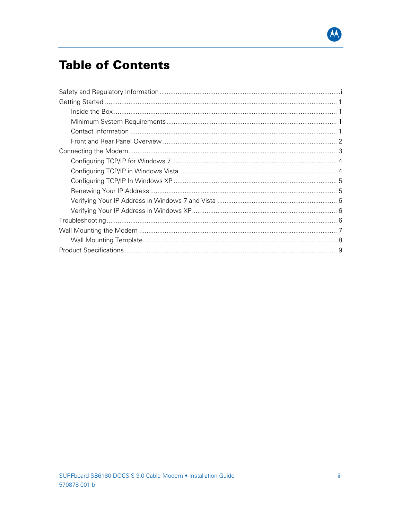

# **Table of Contents**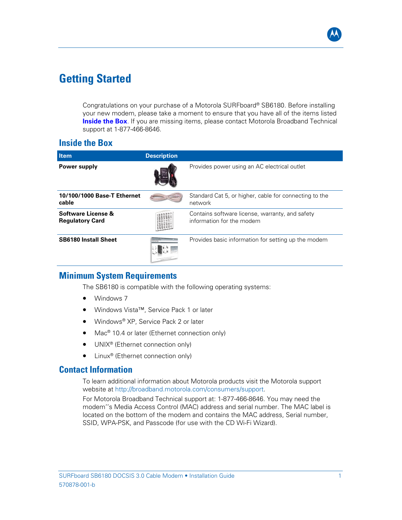

## <span id="page-5-0"></span>**Getting Started**

Congratulations on your purchase of a Motorola SURFboard® SB6180. Before installing your new modem, please take a moment to ensure that you have all of the items listed **Inside the Box**. If you are missing items, please contact Motorola Broadband Technical support at 1-877-466-8646.

#### **Inside the Box**

| <b>Item</b>                                             | <b>Description</b> |                                                                              |
|---------------------------------------------------------|--------------------|------------------------------------------------------------------------------|
| Power supply                                            |                    | Provides power using an AC electrical outlet                                 |
| 10/100/1000 Base-T Ethernet<br>cable                    |                    | Standard Cat 5, or higher, cable for connecting to the<br>network            |
| <b>Software License &amp;</b><br><b>Regulatory Card</b> |                    | Contains software license, warranty, and safety<br>information for the modem |
| <b>SB6180 Install Sheet</b>                             |                    | Provides basic information for setting up the modem                          |

#### **Minimum System Requirements**

The SB6180 is compatible with the following operating systems:

- Windows 7
- Windows Vista™, Service Pack 1 or later
- Windows® XP, Service Pack 2 or later
- Mac<sup>®</sup> 10.4 or later (Ethernet connection only)
- UNIX<sup>®</sup> (Ethernet connection only)
- Linux<sup>®</sup> (Ethernet connection only)

#### **Contact Information**

To learn additional information about Motorola products visit the Motorola support website at [http://broadband.motorola.com/consumers/support.](http://broadband.motorola.com/consumers/support)

For Motorola Broadband Technical support at: 1-877-466-8646. You may need the modem''s Media Access Control (MAC) address and serial number. The MAC label is located on the bottom of the modem and contains the MAC address, Serial number, SSID, WPA-PSK, and Passcode (for use with the CD Wi-Fi Wizard).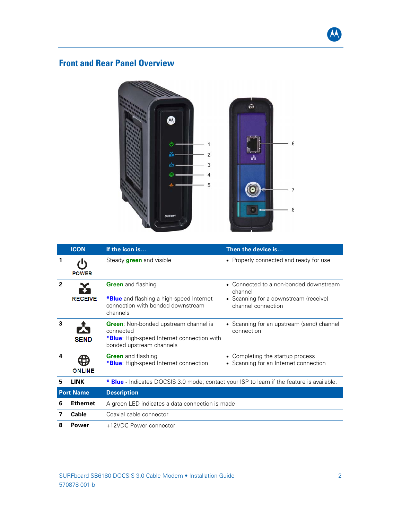

## <span id="page-6-0"></span>**Front and Rear Panel Overview**



|                | <b>ICON</b>      | If the icon is                                                                                                                      | Then the device is                                                      |
|----------------|------------------|-------------------------------------------------------------------------------------------------------------------------------------|-------------------------------------------------------------------------|
|                | <b>POWER</b>     | Steady <b>green</b> and visible                                                                                                     | • Properly connected and ready for use                                  |
| $\overline{2}$ |                  | <b>Green</b> and flashing                                                                                                           | • Connected to a non-bonded downstream<br>channel                       |
|                | <b>RECEIVE</b>   | *Blue and flashing a high-speed Internet<br>connection with bonded downstream<br>channels                                           | • Scanning for a downstream (receive)<br>channel connection             |
| 3              | <b>SEND</b>      | <b>Green:</b> Non-bonded upstream channel is<br>connected<br>*Blue: High-speed Internet connection with<br>bonded upstream channels | • Scanning for an upstream (send) channel<br>connection                 |
| 4              | <b>ONLINE</b>    | <b>Green</b> and flashing<br><b>*Blue:</b> High-speed Internet connection                                                           | Completing the startup process<br>• Scanning for an Internet connection |
| 5              | <b>LINK</b>      | * Blue - Indicates DOCSIS 3.0 mode; contact your ISP to learn if the feature is available.                                          |                                                                         |
|                | <b>Port Name</b> | <b>Description</b>                                                                                                                  |                                                                         |
| 6              | <b>Ethernet</b>  | A green LED indicates a data connection is made                                                                                     |                                                                         |
| 7              | Cable            | Coaxial cable connector                                                                                                             |                                                                         |
| 8              | Power            | +12VDC Power connector                                                                                                              |                                                                         |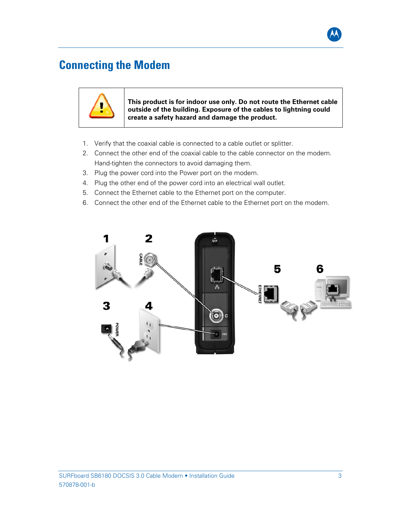

## <span id="page-7-0"></span>**Connecting the Modem**



**This product is for indoor use only. Do not route the Ethernet cable outside of the building. Exposure of the cables to lightning could create a safety hazard and damage the product.** 

- 1. Verify that the coaxial cable is connected to a cable outlet or splitter.
- 2. Connect the other end of the coaxial cable to the cable connector on the modem. Hand-tighten the connectors to avoid damaging them.
- 3. Plug the power cord into the Power port on the modem.
- 4. Plug the other end of the power cord into an electrical wall outlet.
- 5. Connect the Ethernet cable to the Ethernet port on the computer.
- 6. Connect the other end of the Ethernet cable to the Ethernet port on the modem.

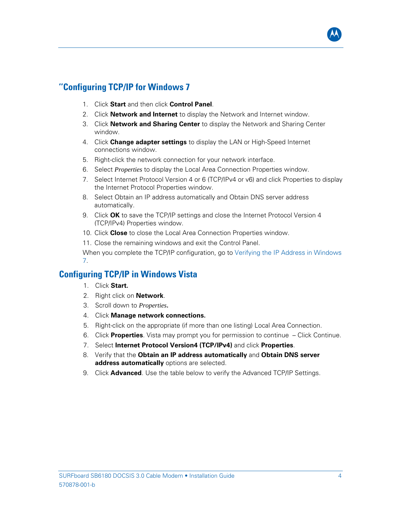

#### <span id="page-8-0"></span>**''Configuring TCP/IP for Windows 7**

- 1. Click **Start** and then click **Control Panel**.
- 2. Click **Network and Internet** to display the Network and Internet window.
- 3. Click **Network and Sharing Center** to display the Network and Sharing Center window.
- 4. Click **Change adapter settings** to display the LAN or High-Speed Internet connections window.
- 5. Right-click the network connection for your network interface.
- 6. Select *Properties* to display the Local Area Connection Properties window.
- 7. Select Internet Protocol Version 4 or 6 (TCP/IPv4 or v6) and click Properties to display the Internet Protocol Properties window.
- 8. Select Obtain an IP address automatically and Obtain DNS server address automatically.
- 9. Click **OK** to save the TCP/IP settings and close the Internet Protocol Version 4 (TCP/IPv4) Properties window.
- 10. Click **Close** to close the Local Area Connection Properties window.
- 11. Close the remaining windows and exit the Control Panel.

When you complete the TCP/IP configuration, go to [Verifying the IP Address in Windows](#page-9-0)  [7.](#page-9-0)

#### **Configuring TCP/IP in Windows Vista**

- 1. Click **Start.**
- 2. Right click on **Network**.
- 3. Scroll down to *Properties***.**
- 4. Click **Manage network connections.**
- 5. Right-click on the appropriate (if more than one listing) Local Area Connection.
- 6. Click **Properties**. Vista may prompt you for permission to continue Click Continue.
- 7. Select **Internet Protocol Version4 (TCP/IPv4)** and click **Properties**.
- 8. Verify that the **Obtain an IP address automatically** and **Obtain DNS server address automatically** options are selected.
- 9. Click **Advanced**. Use the table below to verify the Advanced TCP/IP Settings.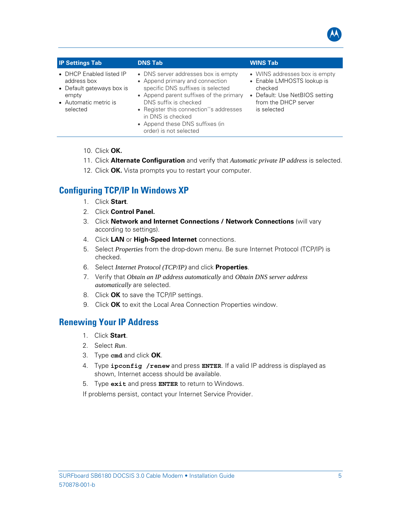

<span id="page-9-0"></span>

| <b>IP Settings Tab</b>                                                                                             | <b>DNS Tab</b>                                                                                                                                                                                                                                                                                               | <b>WINS Tab</b>                                                                                                                                 |
|--------------------------------------------------------------------------------------------------------------------|--------------------------------------------------------------------------------------------------------------------------------------------------------------------------------------------------------------------------------------------------------------------------------------------------------------|-------------------------------------------------------------------------------------------------------------------------------------------------|
| • DHCP Enabled listed IP<br>address box<br>• Default gateways box is<br>empty<br>• Automatic metric is<br>selected | • DNS server addresses box is empty<br>• Append primary and connection<br>specific DNS suffixes is selected<br>• Append parent suffixes of the primary<br>DNS suffix is checked<br>• Register this connection''s addresses<br>in DNS is checked<br>• Append these DNS suffixes (in<br>order) is not selected | • WINS addresses box is empty<br>• Enable LMHOSTS lookup is<br>checked<br>• Default: Use NetBIOS setting<br>from the DHCP server<br>is selected |

- 10. Click **OK.**
- 11. Click **Alternate Configuration** and verify that *Automatic private IP address* is selected.
- 12. Click **OK.** Vista prompts you to restart your computer.

## **Configuring TCP/IP In Windows XP**

- 1. Click **Start**.
- 2. Click **Control Panel.**
- 3. Click **Network and Internet Connections / Network Connections** (will vary according to settings).
- 4. Click **LAN** or **High-Speed Internet** connections.
- 5. Select *Properties* from the drop-down menu. Be sure Internet Protocol (TCP/IP) is checked.
- 6. Select *Internet Protocol (TCP/IP)* and click **Properties**.
- 7. Verify that *Obtain an IP address automatically* and *Obtain DNS server address automatically* are selected.
- 8. Click **OK** to save the TCP/IP settings.
- 9. Click **OK** to exit the Local Area Connection Properties window.

## **Renewing Your IP Address**

- 1. Click **Start**.
- 2. Select *Run*.
- 3. Type **cmd** and click **OK**.
- 4. Type **ipconfig /renew** and press **ENTER**. If a valid IP address is displayed as shown, Internet access should be available.
- 5. Type **exit** and press **ENTER** to return to Windows.

If problems persist, contact your Internet Service Provider.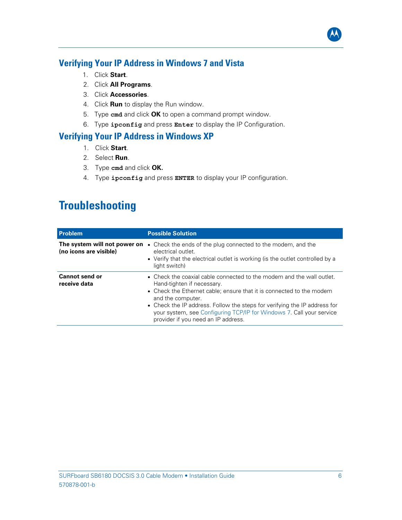## <span id="page-10-0"></span>**Verifying Your IP Address in Windows 7 and Vista**

- 1. Click **Start**.
- 2. Click **All Programs**.
- 3. Click **Accessories**.
- 4. Click **Run** to display the Run window.
- 5. Type **cmd** and click **OK** to open a command prompt window.
- 6. Type **ipconfig** and press **Enter** to display the IP Configuration.

#### **Verifying Your IP Address in Windows XP**

- 1. Click **Start**.
- 2. Select **Run**.
- 3. Type **cmd** and click **OK.**
- 4. Type **ipconfig** and press **ENTER** to display your IP configuration.

# **Troubleshooting**

| <b>Problem</b>                                         | <b>Possible Solution</b>                                                                                                                                                                                                                                                                                                                                                                     |
|--------------------------------------------------------|----------------------------------------------------------------------------------------------------------------------------------------------------------------------------------------------------------------------------------------------------------------------------------------------------------------------------------------------------------------------------------------------|
| The system will not power on<br>(no icons are visible) | • Check the ends of the plug connected to the modem, and the<br>electrical outlet.<br>• Verify that the electrical outlet is working (is the outlet controlled by a<br>light switch)                                                                                                                                                                                                         |
| <b>Cannot send or</b><br>receive data                  | • Check the coaxial cable connected to the modem and the wall outlet.<br>Hand-tighten if necessary.<br>• Check the Ethernet cable; ensure that it is connected to the modem<br>and the computer.<br>• Check the IP address. Follow the steps for verifying the IP address for<br>your system, see Configuring TCP/IP for Windows 7. Call your service<br>provider if you need an IP address. |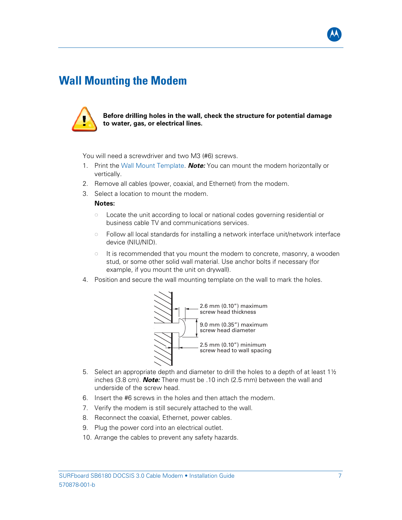

## <span id="page-11-0"></span>**Wall Mounting the Modem**



**Before drilling holes in the wall, check the structure for potential damage to water, gas, or electrical lines.** 

You will need a screwdriver and two M3 (#6) screws.

- 1. Print the [Wall Mount Template.](#page-12-0) *Note:* You can mount the modem horizontally or vertically.
- 2. Remove all cables (power, coaxial, and Ethernet) from the modem.
- 3. Select a location to mount the modem.

#### **Notes:**

- Locate the unit according to local or national codes governing residential or business cable TV and communications services.
- Follow all local standards for installing a network interface unit/network interface device (NIU/NID).
- $\circ$  It is recommended that you mount the modem to concrete, masonry, a wooden stud, or some other solid wall material. Use anchor bolts if necessary (for example, if you mount the unit on drywall).
- 4. Position and secure the wall mounting template on the wall to mark the holes.



- 5. Select an appropriate depth and diameter to drill the holes to a depth of at least  $1\frac{1}{2}$ inches (3.8 cm). *Note:* There must be .10 inch (2.5 mm) between the wall and underside of the screw head.
- 6. Insert the #6 screws in the holes and then attach the modem.
- 7. Verify the modem is still securely attached to the wall.
- 8. Reconnect the coaxial, Ethernet, power cables.
- 9. Plug the power cord into an electrical outlet.
- 10. Arrange the cables to prevent any safety hazards.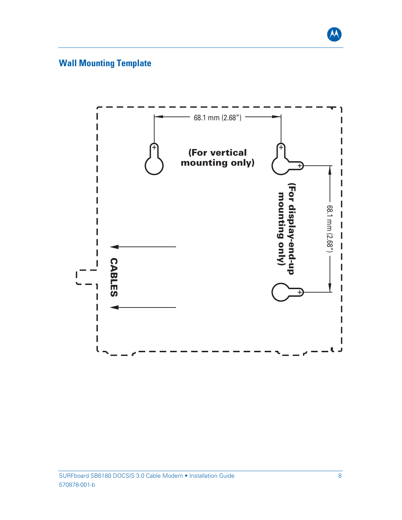

## <span id="page-12-0"></span>**Wall Mounting Template**

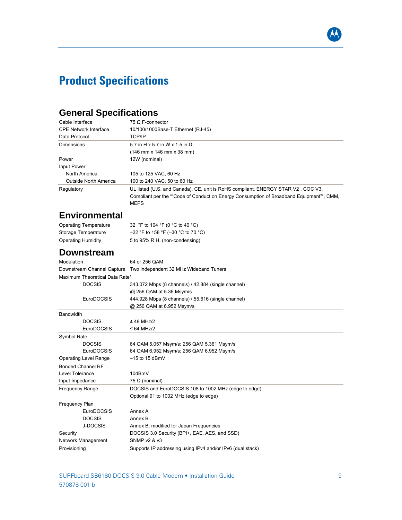# <span id="page-13-0"></span>**Product Specifications**

## **General Specifications**

| Cable Interface              | 75 O F-connector                                                                                                                                                                            |
|------------------------------|---------------------------------------------------------------------------------------------------------------------------------------------------------------------------------------------|
| <b>CPE Network Interface</b> | 10/100/1000Base-T Ethernet (RJ-45)                                                                                                                                                          |
| Data Protocol                | <b>TCP/IP</b>                                                                                                                                                                               |
| Dimensions                   | 5.7 in H x 5.7 in W x 1.5 in D                                                                                                                                                              |
|                              | (146 mm x 146 mm x 38 mm)                                                                                                                                                                   |
| Power                        | 12W (nominal)                                                                                                                                                                               |
| Input Power                  |                                                                                                                                                                                             |
| North America                | 105 to 125 VAC, 60 Hz                                                                                                                                                                       |
| Outside North America        | 100 to 240 VAC, 50 to 60 Hz                                                                                                                                                                 |
| Regulatory                   | UL listed (U.S. and Canada), CE, unit is RoHS compliant, ENERGY STAR V2, COC V3,<br>Compliant per the ""Code of Conduct on Energy Consumption of Broadband Equipment"", CMM,<br><b>MEPS</b> |
| <b>Environmental</b>         |                                                                                                                                                                                             |

| <b>Operating Temperature</b> | 32 °F to 104 °F (0 °C to 40 °C)      |
|------------------------------|--------------------------------------|
| Storage Temperature          | $-22$ °F to 158 °F (-30 °C to 70 °C) |
| Operating Humidity           | 5 to 95% R.H. (non-condensing)       |

## **Downstream**

| Modulation                     | 64 or 256 QAM                                              |
|--------------------------------|------------------------------------------------------------|
| Downstream Channel Capture     | Two independent 32 MHz Wideband Tuners                     |
| Maximum Theoretical Data Rate* |                                                            |
| <b>DOCSIS</b>                  | 343.072 Mbps (8 channels) / 42.884 (single channel)        |
|                                | @ 256 QAM at 5.36 Msym/s                                   |
| EuroDOCSIS                     | 444.928 Mbps (8 channels) / 55.616 (single channel)        |
|                                | @ 256 QAM at 6.952 Msym/s                                  |
| <b>Bandwidth</b>               |                                                            |
| <b>DOCSIS</b>                  | $\leq$ 48 MH <sub>7</sub> /2                               |
| EuroDOCSIS                     | $\leq$ 64 MHz/2                                            |
| Symbol Rate                    |                                                            |
| <b>DOCSIS</b>                  | 64 QAM 5.057 Msym/s; 256 QAM 5.361 Msym/s                  |
| <b>EuroDOCSIS</b>              | 64 QAM 6.952 Msym/s; 256 QAM 6.952 Msym/s                  |
| <b>Operating Level Range</b>   | $-15$ to 15 dBmV                                           |
| <b>Bonded Channel RF</b>       |                                                            |
| Level Tolerance                | 10dBmV                                                     |
| Input Impedance                | 75 $\Omega$ (nominal)                                      |
| <b>Frequency Range</b>         | DOCSIS and EuroDOCSIS 108 to 1002 MHz (edge to edge).      |
|                                | Optional 91 to 1002 MHz (edge to edge)                     |
| <b>Frequency Plan</b>          |                                                            |
| EuroDOCSIS                     | Annex A                                                    |
| <b>DOCSIS</b>                  | Annex B                                                    |
| J-DOCSIS                       | Annex B, modified for Japan Frequencies                    |
| Security                       | DOCSIS 3.0 Security (BPI+, EAE, AES, and SSD)              |
| Network Management             | SNMP v2 & v3                                               |
| Provisioning                   | Supports IP addressing using IPv4 and/or IPv6 (dual stack) |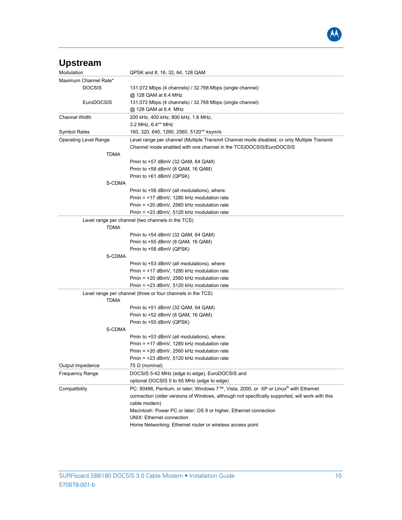

| <b>Upstream</b>              |                                                                                                  |
|------------------------------|--------------------------------------------------------------------------------------------------|
| Modulation                   | QPSK and 8, 16, 32, 64, 128 QAM                                                                  |
| Maximum Channel Rate*        |                                                                                                  |
| <b>DOCSIS</b>                | 131.072 Mbps (4 channels) / 32.768 Mbps (single channel):                                        |
|                              | @ 128 QAM at 6.4 MHz                                                                             |
| EuroDOCSIS                   | 131.072 Mbps (4 channels) / 32.768 Mbps (single channel):                                        |
|                              | @ 128 QAM at 6.4 MHz                                                                             |
| <b>Channel Width</b>         | 200 kHz, 400 kHz, 800 kHz, 1.6 MHz,                                                              |
|                              | 3.2 MHz, 6.4** MHz                                                                               |
| <b>Symbol Rates</b>          | 160, 320, 640, 1280, 2560, 5120** ksym/s                                                         |
| <b>Operating Level Range</b> | Level range per channel (Multiple Transmit Channel mode disabled, or only Multiple Transmit      |
|                              | Channel mode enabled with one channel in the TCS)DOCSIS/EuroDOCSIS                               |
| TDMA                         |                                                                                                  |
|                              | Pmin to +57 dBmV (32 QAM, 64 QAM)                                                                |
|                              | Pmin to +58 dBmV (8 QAM, 16 QAM)                                                                 |
|                              | Pmin to +61 dBmV (QPSK)                                                                          |
| S-CDMA                       |                                                                                                  |
|                              | Pmin to +56 dBmV (all modulations), where:                                                       |
|                              | Pmin = $+17$ dBmV, 1280 kHz modulation rate                                                      |
|                              | Pmin = $+20$ dBmV, 2560 kHz modulation rate                                                      |
|                              | Pmin = $+23$ dBmV, 5120 kHz modulation rate                                                      |
| <b>TDMA</b>                  | Level range per channel (two channels in the TCS)                                                |
|                              | Pmin to +54 dBmV (32 QAM, 64 QAM)                                                                |
|                              | Pmin to +55 dBmV (8 QAM, 16 QAM)                                                                 |
|                              | Pmin to +58 dBmV (QPSK)                                                                          |
| S-CDMA                       |                                                                                                  |
|                              | Pmin to +53 dBmV (all modulations), where:                                                       |
|                              | Pmin = $+17$ dBmV, 1280 kHz modulation rate                                                      |
|                              | Pmin = $+20$ dBmV, 2560 kHz modulation rate                                                      |
|                              | Pmin = $+23$ dBmV, 5120 kHz modulation rate                                                      |
| <b>TDMA</b>                  | Level range per channel (three or four channels in the TCS)                                      |
|                              | Pmin to +51 dBmV (32 QAM, 64 QAM)                                                                |
|                              | Pmin to +52 dBmV (8 QAM, 16 QAM)                                                                 |
|                              | Pmin to +55 dBmV (QPSK)                                                                          |
| S-CDMA                       |                                                                                                  |
|                              | Pmin to +53 dBmV (all modulations), where:                                                       |
|                              | Pmin = $+17$ dBmV, 1280 kHz modulation rate                                                      |
|                              | Pmin = +20 dBmV, 2560 kHz modulation rate                                                        |
|                              | Pmin = +23 dBmV, 5120 kHz modulation rate                                                        |
| Output Impedance             | 75 $\Omega$ (nominal)                                                                            |
| <b>Frequency Range</b>       | DOCSIS 5-42 MHz (edge to edge), EuroDOCSIS and                                                   |
|                              | optional DOCSIS 5 to 65 MHz (edge to edge)                                                       |
| Compatibility                | PC: 90496, Pentium, or later; Windows 7™, Vista, 2000, or XP or Linux <sup>®</sup> with Ethernet |
|                              | connection (older versions of Windows, although not specifically supported, will work with this  |
|                              | cable modem)                                                                                     |
|                              | Macintosh: Power PC or later; OS 9 or higher, Ethernet connection                                |
|                              | UNIX: Ethernet connection                                                                        |
|                              | Home Networking: Ethernet router or wireless access point                                        |
|                              |                                                                                                  |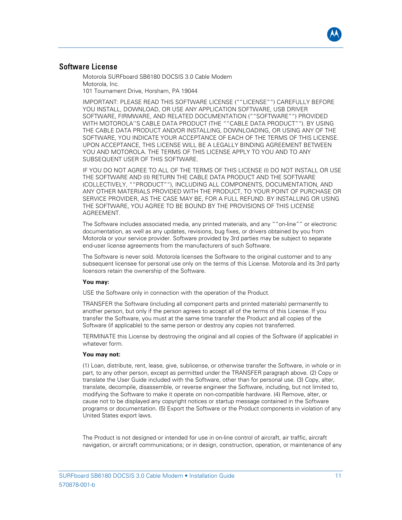

#### Software License

Motorola SURFboard SB6180 DOCSIS 3.0 Cable Modem Motorola, Inc. 101 Tournament Drive, Horsham, PA 19044

IMPORTANT: PLEASE READ THIS SOFTWARE LICENSE (""LICENSE"") CAREFULLY BEFORE YOU INSTALL, DOWNLOAD, OR USE ANY APPLICATION SOFTWARE, USB DRIVER SOFTWARE, FIRMWARE, AND RELATED DOCUMENTATION (""SOFTWARE"") PROVIDED WITH MOTOROLA''S CABLE DATA PRODUCT (THE ""CABLE DATA PRODUCT""). BY USING THE CABLE DATA PRODUCT AND/OR INSTALLING, DOWNLOADING, OR USING ANY OF THE SOFTWARE, YOU INDICATE YOUR ACCEPTANCE OF EACH OF THE TERMS OF THIS LICENSE. UPON ACCEPTANCE, THIS LICENSE WILL BE A LEGALLY BINDING AGREEMENT BETWEEN YOU AND MOTOROLA. THE TERMS OF THIS LICENSE APPLY TO YOU AND TO ANY SUBSEQUENT USER OF THIS SOFTWARE.

IF YOU DO NOT AGREE TO ALL OF THE TERMS OF THIS LICENSE (I) DO NOT INSTALL OR USE THE SOFTWARE AND (II) RETURN THE CABLE DATA PRODUCT AND THE SOFTWARE (COLLECTIVELY, ""PRODUCT""), INCLUDING ALL COMPONENTS, DOCUMENTATION, AND ANY OTHER MATERIALS PROVIDED WITH THE PRODUCT, TO YOUR POINT OF PURCHASE OR SERVICE PROVIDER, AS THE CASE MAY BE, FOR A FULL REFUND. BY INSTALLING OR USING THE SOFTWARE, YOU AGREE TO BE BOUND BY THE PROVISIONS OF THIS LICENSE AGREEMENT.

The Software includes associated media, any printed materials, and any ""on-line"" or electronic documentation, as well as any updates, revisions, bug fixes, or drivers obtained by you from Motorola or your service provider. Software provided by 3rd parties may be subject to separate end-user license agreements from the manufacturers of such Software.

The Software is never sold. Motorola licenses the Software to the original customer and to any subsequent licensee for personal use only on the terms of this License. Motorola and its 3rd party licensors retain the ownership of the Software.

#### **You may:**

USE the Software only in connection with the operation of the Product.

TRANSFER the Software (including all component parts and printed materials) permanently to another person, but only if the person agrees to accept all of the terms of this License. If you transfer the Software, you must at the same time transfer the Product and all copies of the Software (if applicable) to the same person or destroy any copies not transferred.

TERMINATE this License by destroying the original and all copies of the Software (if applicable) in whatever form.

#### **You may not:**

(1) Loan, distribute, rent, lease, give, sublicense, or otherwise transfer the Software, in whole or in part, to any other person, except as permitted under the TRANSFER paragraph above. (2) Copy or translate the User Guide included with the Software, other than for personal use. (3) Copy, alter, translate, decompile, disassemble, or reverse engineer the Software, including, but not limited to, modifying the Software to make it operate on non-compatible hardware. (4) Remove, alter, or cause not to be displayed any copyright notices or startup message contained in the Software programs or documentation. (5) Export the Software or the Product components in violation of any United States export laws.

The Product is not designed or intended for use in on-line control of aircraft, air traffic, aircraft navigation, or aircraft communications; or in design, construction, operation, or maintenance of any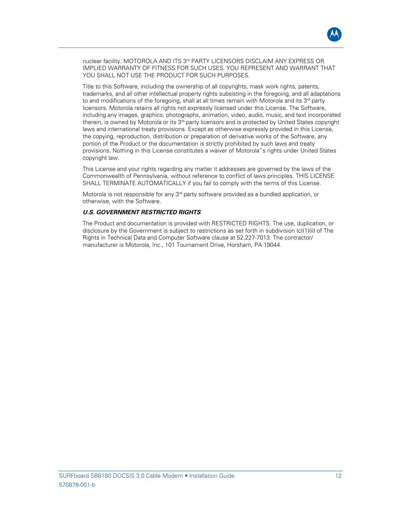nuclear facility. MOTOROLA AND ITS 3<sup>rd</sup> PARTY LICENSORS DISCLAIM ANY EXPRESS OR IMPLIED WARRANTY OF FITNESS FOR SUCH USES. YOU REPRESENT AND WARRANT THAT YOU SHALL NOT USE THE PRODUCT FOR SUCH PURPOSES.

Title to this Software, including the ownership of all copyrights, mask work rights, patents, trademarks, and all other intellectual property rights subsisting in the foregoing, and all adaptations to and modifications of the foregoing, shall at all times remain with Motorola and its  $3<sup>rd</sup>$  party licensors. Motorola retains all rights not expressly licensed under this License. The Software, including any images, graphics, photographs, animation, video, audio, music, and text incorporated therein, is owned by Motorola or its 3<sup>rd</sup> party licensors and is protected by United States copyright laws and international treaty provisions. Except as otherwise expressly provided in this License, the copying, reproduction, distribution or preparation of derivative works of the Software, any portion of the Product or the documentation is strictly prohibited by such laws and treaty provisions. Nothing in this License constitutes a waiver of Motorola''s rights under United States copyright law.

This License and your rights regarding any matter it addresses are governed by the laws of the Commonwealth of Pennsylvania, without reference to conflict of laws principles. THIS LICENSE SHALL TERMINATE AUTOMATICALLY if you fail to comply with the terms of this License.

Motorola is not responsible for any 3<sup>rd</sup> party software provided as a bundled application, or otherwise, with the Software.

#### *U.S. GOVERNMENT RESTRICTED RIGHTS*

The Product and documentation is provided with RESTRICTED RIGHTS. The use, duplication, or disclosure by the Government is subject to restrictions as set forth in subdivision (c)(1)(ii) of The Rights in Technical Data and Computer Software clause at 52.227-7013. The contractor/ manufacturer is Motorola, Inc., 101 Tournament Drive, Horsham, PA 19044.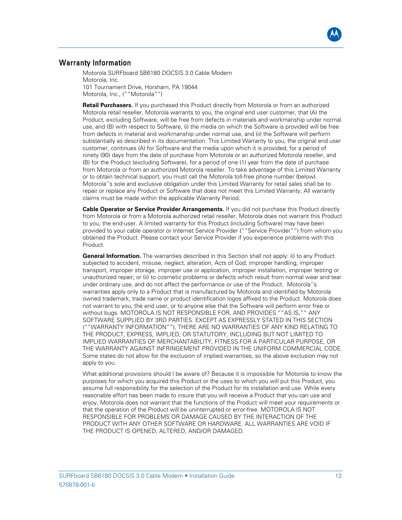#### Warranty Information

Motorola SURFboard SB6180 DOCSIS 3.0 Cable Modem Motorola, Inc. 101 Tournament Drive, Horsham, PA 19044 Motorola, Inc., (""Motorola"")

**Retail Purchasers.** If you purchased this Product directly from Motorola or from an authorized Motorola retail reseller, Motorola warrants to you, the original end user customer, that (A) the Product, excluding Software, will be free from defects in materials and workmanship under normal use, and (B) with respect to Software, (i) the media on which the Software is provided will be free from defects in material and workmanship under normal use, and (ii) the Software will perform substantially as described in its documentation. This Limited Warranty to you, the original end user customer, continues (A) for Software and the media upon which it is provided, for a period of ninety (90) days from the date of purchase from Motorola or an authorized Motorola reseller, and (B) for the Product (excluding Software), for a period of one (1) year from the date of purchase from Motorola or from an authorized Motorola reseller. To take advantage of this Limited Warranty or to obtain technical support, you must call the Motorola toll-free phone number (below). Motorola''s sole and exclusive obligation under this Limited Warranty for retail sales shall be to repair or replace any Product or Software that does not meet this Limited Warranty. All warranty claims must be made within the applicable Warranty Period.

**Cable Operator or Service Provider Arrangements.** If you did not purchase this Product directly from Motorola or from a Motorola authorized retail reseller, Motorola does not warrant this Product to you, the end-user. A limited warranty for this Product (including Software) may have been provided to your cable operator or Internet Service Provider (""Service Provider"") from whom you obtained the Product. Please contact your Service Provider if you experience problems with this Product.

**General Information.** The warranties described in this Section shall not apply: (i) to any Product subjected to accident, misuse, neglect, alteration, Acts of God, improper handling, improper transport, improper storage, improper use or application, improper installation, improper testing or unauthorized repair; or (ii) to cosmetic problems or defects which result from normal wear and tear under ordinary use, and do not affect the performance or use of the Product. Motorola''s warranties apply only to a Product that is manufactured by Motorola and identified by Motorola owned trademark, trade name or product identification logos affixed to the Product. Motorola does not warrant to you, the end user, or to anyone else that the Software will perform error free or without bugs. MOTOROLA IS NOT RESPONSIBLE FOR, AND PROVIDES ""AS IS,"" ANY SOFTWARE SUPPLIED BY 3RD PARTIES. EXCEPT AS EXPRESSLY STATED IN THIS SECTION (""WARRANTY INFORMATION""), THERE ARE NO WARRANTIES OF ANY KIND RELATING TO THE PRODUCT, EXPRESS, IMPLIED, OR STATUTORY, INCLUDING BUT NOT LIMITED TO IMPLIED WARRANTIES OF MERCHANTABILITY, FITNESS FOR A PARTICULAR PURPOSE, OR THE WARRANTY AGAINST INFRINGEMENT PROVIDED IN THE UNIFORM COMMERCIAL CODE. Some states do not allow for the exclusion of implied warranties, so the above exclusion may not apply to you.

What additional provisions should I be aware of? Because it is impossible for Motorola to know the purposes for which you acquired this Product or the uses to which you will put this Product, you assume full responsibility for the selection of the Product for its installation and use. While every reasonable effort has been made to insure that you will receive a Product that you can use and enjoy, Motorola does not warrant that the functions of the Product will meet your requirements or that the operation of the Product will be uninterrupted or error-free. MOTOROLA IS NOT RESPONSIBLE FOR PROBLEMS OR DAMAGE CAUSED BY THE INTERACTION OF THE PRODUCT WITH ANY OTHER SOFTWARE OR HARDWARE. ALL WARRANTIES ARE VOID IF THE PRODUCT IS OPENED, ALTERED, AND/OR DAMAGED.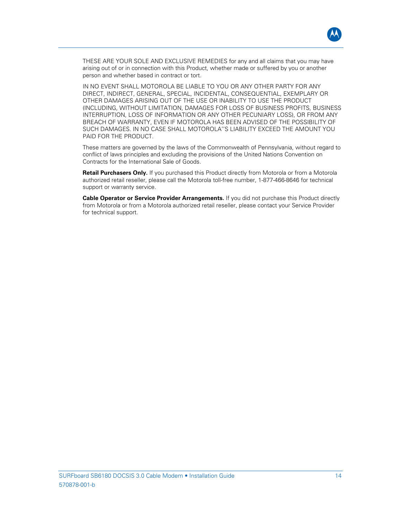

THESE ARE YOUR SOLE AND EXCLUSIVE REMEDIES for any and all claims that you may have arising out of or in connection with this Product, whether made or suffered by you or another person and whether based in contract or tort.

IN NO EVENT SHALL MOTOROLA BE LIABLE TO YOU OR ANY OTHER PARTY FOR ANY DIRECT, INDIRECT, GENERAL, SPECIAL, INCIDENTAL, CONSEQUENTIAL, EXEMPLARY OR OTHER DAMAGES ARISING OUT OF THE USE OR INABILITY TO USE THE PRODUCT (INCLUDING, WITHOUT LIMITATION, DAMAGES FOR LOSS OF BUSINESS PROFITS, BUSINESS INTERRUPTION, LOSS OF INFORMATION OR ANY OTHER PECUNIARY LOSS), OR FROM ANY BREACH OF WARRANTY, EVEN IF MOTOROLA HAS BEEN ADVISED OF THE POSSIBILITY OF SUCH DAMAGES. IN NO CASE SHALL MOTOROLA''S LIABILITY EXCEED THE AMOUNT YOU PAID FOR THE PRODUCT.

These matters are governed by the laws of the Commonwealth of Pennsylvania, without regard to conflict of laws principles and excluding the provisions of the United Nations Convention on Contracts for the International Sale of Goods.

**Retail Purchasers Only.** If you purchased this Product directly from Motorola or from a Motorola authorized retail reseller, please call the Motorola toll-free number, 1-877-466-8646 for technical support or warranty service.

**Cable Operator or Service Provider Arrangements.** If you did not purchase this Product directly from Motorola or from a Motorola authorized retail reseller, please contact your Service Provider for technical support.